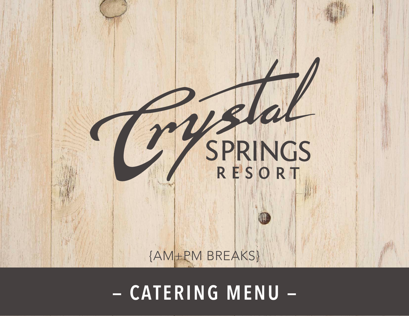

### **THECRYSTALSPRINGSRESORT.COM | SUSSEX COUNTY, NEW JERSEY | 2022 — CATERING MENU —**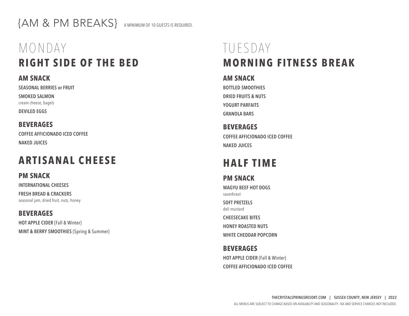{AM & PM BREAKS} A MINIMUM OF 10 GUESTS IS REQUIRED.

# MONDAY **RIGHT SIDE OF THE BED**

#### **AM SNACK**

**SEASONAL BERRIES or FRUIT**

**SMOKED SALMON** cream cheese, bagels **DEVILED EGGS**

**BEVERAGES COFFEE AFFICIONADO ICED COFFEE NAKED JUICES**

## **ARTISANAL CHEESE**

**PM SNACK** 

**INTERNATIONAL CHEESES**

**FRESH BREAD & CRACKERS** seasonal jam, dried fruit, nuts, honey

**BEVERAGES HOT APPLE CIDER** {Fall & Winter} **MINT & BERRY SMOOTHIES** {Spring & Summer}

# TUESDAY **MORNING FITNESS BREAK**

#### **AM SNACK**

**BOTTLED SMOOTHIES DRIED FRUITS & NUTS YOGURT PARFAITS GRANOLA BARS**

**BEVERAGES COFFEE AFFICIONADO ICED COFFEE NAKED JUICES**

## **HALF TIME**

**PM SNACK WAGYU BEEF HOT DOGS**  sauerkraut **SOFT PRETZELS**  deli mustard **CHEESECAKE BITES HONEY ROASTED NUTS WHITE CHEDDAR POPCORN**

### **BEVERAGES**

**HOT APPLE CIDER** {Fall & Winter} **COFFEE AFFICIONADO ICED COFFEE**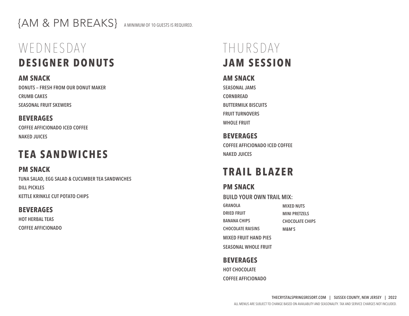{AM & PM BREAKS} A MINIMUM OF 10 GUESTS IS REQUIRED.

# WEDNESDAY **DESIGNER DONUTS**

**AM SNACK DONUTS — FRESH FROM OUR DONUT MAKER CRUMB CAKES SEASONAL FRUIT SKEWERS**

#### **BEVERAGES**

**COFFEE AFFICIONADO ICED COFFEE NAKED JUICES**

### **TEA SANDWICHES**

**PM SNACK TUNA SALAD, EGG SALAD & CUCUMBER TEA SANDWICHES DILL PICKLES KETTLE KRINKLE CUT POTATO CHIPS**

#### **BEVERAGES**

**HOT HERBAL TEAS COFFEE AFFICIONADO**

## THURSDAY **JAM SESSION**

#### **AM SNACK**

**SEASONAL JAMS CORNBREAD BUTTERMILK BISCUITS FRUIT TURNOVERS WHOLE FRUIT**

**BEVERAGES COFFEE AFFICIONADO ICED COFFEE NAKED JUICES**

## **TRAIL BLAZER**

### **PM SNACK**

**BUILD YOUR OWN TRAIL MIX:**

| GRANOLA                      | <b>MIXED NUTS</b>      |
|------------------------------|------------------------|
| <b>DRIED FRUIT</b>           | <b>MINI PRETZELS</b>   |
| <b>BANANA CHIPS</b>          | <b>CHOCOLATE CHIPS</b> |
| <b>CHOCOLATE RAISINS</b>     | M&M'S                  |
| <b>MIXED FRUIT HAND PIES</b> |                        |
| <b>SEASONAL WHOLE FRUIT</b>  |                        |

### **BEVERAGES**

**HOT CHOCOLATE COFFEE AFFICIONADO**